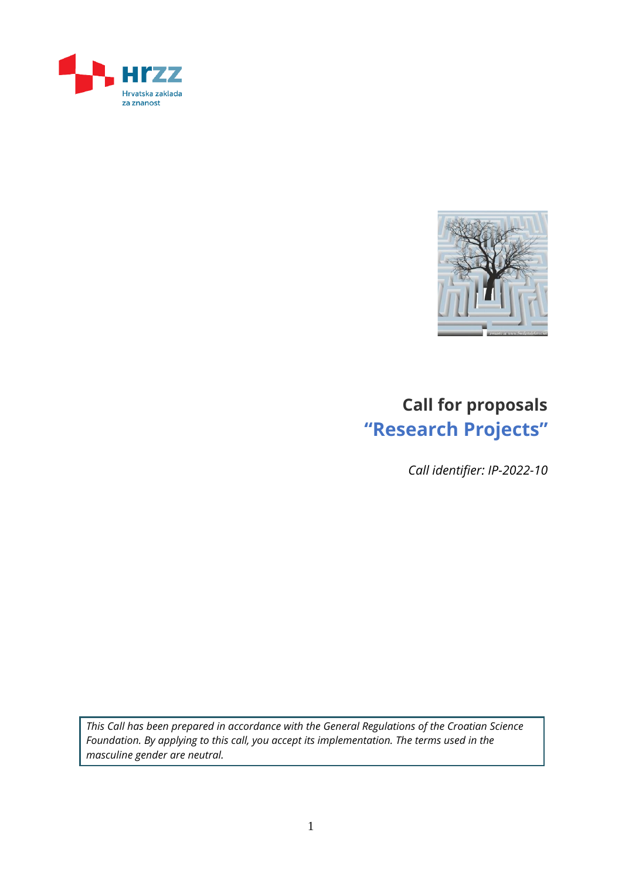



# **Call for proposals "Research Projects"**

*Call identifier: IP-2022-10*

*This Call has been prepared in accordance with the General Regulations of the Croatian Science Foundation. By applying to this call, you accept its implementation. The terms used in the masculine gender are neutral.*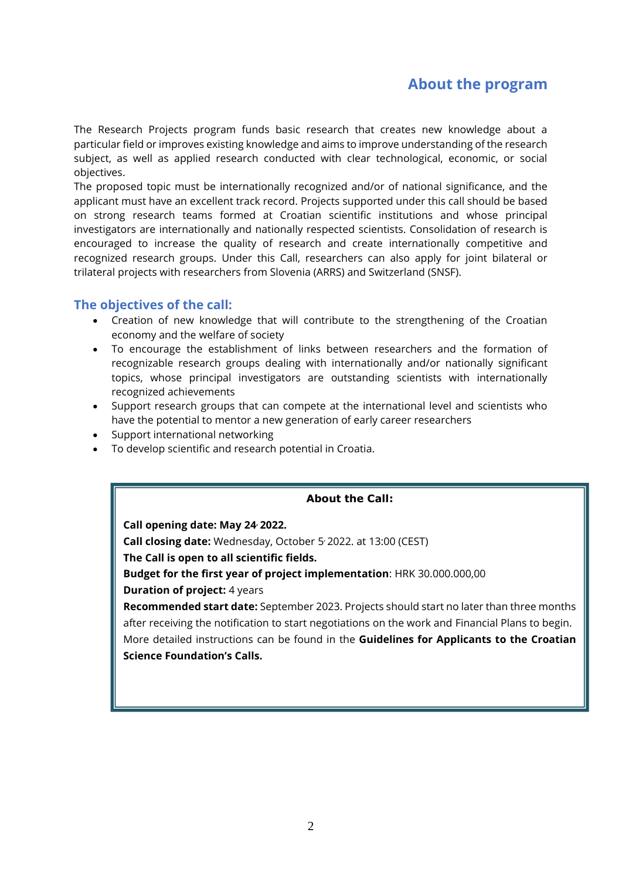### **About the program**

The Research Projects program funds basic research that creates new knowledge about a particular field or improves existing knowledge and aims to improve understanding of the research subject, as well as applied research conducted with clear technological, economic, or social objectives.

The proposed topic must be internationally recognized and/or of national significance, and the applicant must have an excellent track record. Projects supported under this call should be based on strong research teams formed at Croatian scientific institutions and whose principal investigators are internationally and nationally respected scientists. Consolidation of research is encouraged to increase the quality of research and create internationally competitive and recognized research groups. Under this Call, researchers can also apply for joint bilateral or trilateral projects with researchers from Slovenia (ARRS) and Switzerland (SNSF).

### **The objectives of the call:**

- Creation of new knowledge that will contribute to the strengthening of the Croatian economy and the welfare of society
- To encourage the establishment of links between researchers and the formation of recognizable research groups dealing with internationally and/or nationally significant topics, whose principal investigators are outstanding scientists with internationally recognized achievements
- Support research groups that can compete at the international level and scientists who have the potential to mentor a new generation of early career researchers
- Support international networking
- To develop scientific and research potential in Croatia.

#### **About the Call:**

**Call opening date: May 24, 2022. Call closing date:** Wednesday, October 5 , 2022. at 13:00 (CEST) **The Call is open to all scientific fields. Budget for the first year of project implementation**: HRK 30.000.000,00 **Duration of project:** 4 years **Recommended start date:** September 2023. Projects should start no later than three months

after receiving the notification to start negotiations on the work and Financial Plans to begin. More detailed instructions can be found in the **Guidelines for Applicants to the Croatian Science Foundation's Calls.**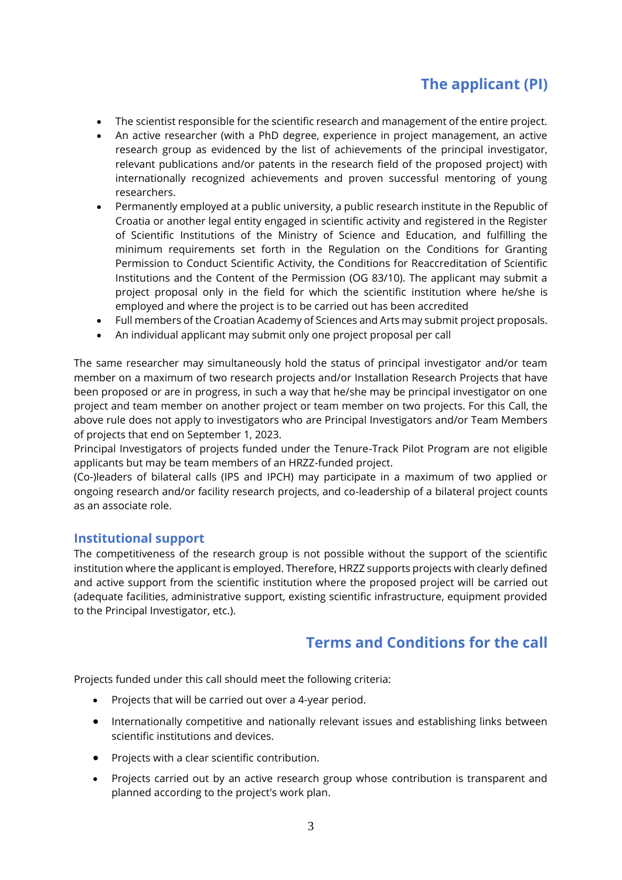# **The applicant (PI)**

- The scientist responsible for the scientific research and management of the entire project.
- An active researcher (with a PhD degree, experience in project management, an active research group as evidenced by the list of achievements of the principal investigator, relevant publications and/or patents in the research field of the proposed project) with internationally recognized achievements and proven successful mentoring of young researchers.
- Permanently employed at a public university, a public research institute in the Republic of Croatia or another legal entity engaged in scientific activity and registered in the Register of Scientific Institutions of the Ministry of Science and Education, and fulfilling the minimum requirements set forth in the Regulation on the Conditions for Granting Permission to Conduct Scientific Activity, the Conditions for Reaccreditation of Scientific Institutions and the Content of the Permission (OG 83/10). The applicant may submit a project proposal only in the field for which the scientific institution where he/she is employed and where the project is to be carried out has been accredited
- Full members of the Croatian Academy of Sciences and Arts may submit project proposals.
- An individual applicant may submit only one project proposal per call

The same researcher may simultaneously hold the status of principal investigator and/or team member on a maximum of two research projects and/or Installation Research Projects that have been proposed or are in progress, in such a way that he/she may be principal investigator on one project and team member on another project or team member on two projects. For this Call, the above rule does not apply to investigators who are Principal Investigators and/or Team Members of projects that end on September 1, 2023.

Principal Investigators of projects funded under the Tenure-Track Pilot Program are not eligible applicants but may be team members of an HRZZ-funded project.

(Co-)leaders of bilateral calls (IPS and IPCH) may participate in a maximum of two applied or ongoing research and/or facility research projects, and co-leadership of a bilateral project counts as an associate role.

### **Institutional support**

The competitiveness of the research group is not possible without the support of the scientific institution where the applicant is employed. Therefore, HRZZ supports projects with clearly defined and active support from the scientific institution where the proposed project will be carried out (adequate facilities, administrative support, existing scientific infrastructure, equipment provided to the Principal Investigator, etc.).

### **Terms and Conditions for the call**

Projects funded under this call should meet the following criteria:

- Projects that will be carried out over a 4-year period.
- Internationally competitive and nationally relevant issues and establishing links between scientific institutions and devices.
- Projects with a clear scientific contribution.
- Projects carried out by an active research group whose contribution is transparent and planned according to the project's work plan.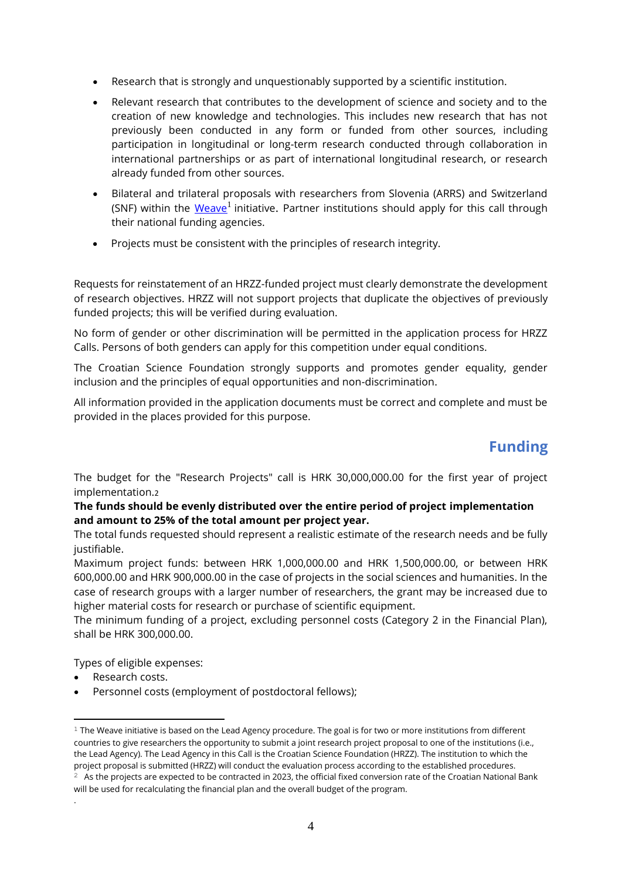- Research that is strongly and unquestionably supported by a scientific institution.
- Relevant research that contributes to the development of science and society and to the creation of new knowledge and technologies. This includes new research that has not previously been conducted in any form or funded from other sources, including participation in longitudinal or long-term research conducted through collaboration in international partnerships or as part of international longitudinal research, or research already funded from other sources.
- Bilateral and trilateral proposals with researchers from Slovenia (ARRS) and Switzerland (SNF) within the <u>[Weave](https://hrzz.hr/pokrenut-weave-novi-sustav-financiranja-prekogranicnih-istrazivanja/)<sup>1</sup> initiative. Partner institutions should apply for this call through</u> their national funding agencies.
- Projects must be consistent with the principles of research integrity.

Requests for reinstatement of an HRZZ-funded project must clearly demonstrate the development of research objectives. HRZZ will not support projects that duplicate the objectives of previously funded projects; this will be verified during evaluation.

No form of gender or other discrimination will be permitted in the application process for HRZZ Calls. Persons of both genders can apply for this competition under equal conditions.

The Croatian Science Foundation strongly supports and promotes gender equality, gender inclusion and the principles of equal opportunities and non-discrimination.

All information provided in the application documents must be correct and complete and must be provided in the places provided for this purpose.

# **Funding**

The budget for the "Research Projects" call is HRK 30,000,000.00 for the first year of project implementation.2

#### **The funds should be evenly distributed over the entire period of project implementation and amount to 25% of the total amount per project year.**

The total funds requested should represent a realistic estimate of the research needs and be fully justifiable.

Maximum project funds: between HRK 1,000,000.00 and HRK 1,500,000.00, or between HRK 600,000.00 and HRK 900,000.00 in the case of projects in the social sciences and humanities. In the case of research groups with a larger number of researchers, the grant may be increased due to higher material costs for research or purchase of scientific equipment.

The minimum funding of a project, excluding personnel costs (Category 2 in the Financial Plan), shall be HRK 300,000.00.

Types of eligible expenses:

Research costs.

.

Personnel costs (employment of postdoctoral fellows);

 $1$  The Weave initiative is based on the Lead Agency procedure. The goal is for two or more institutions from different countries to give researchers the opportunity to submit a joint research project proposal to one of the institutions (i.e., the Lead Agency). The Lead Agency in this Call is the Croatian Science Foundation (HRZZ). The institution to which the project proposal is submitted (HRZZ) will conduct the evaluation process according to the established procedures.

 $2\text{ A}$ s the projects are expected to be contracted in 2023, the official fixed conversion rate of the Croatian National Bank will be used for recalculating the financial plan and the overall budget of the program.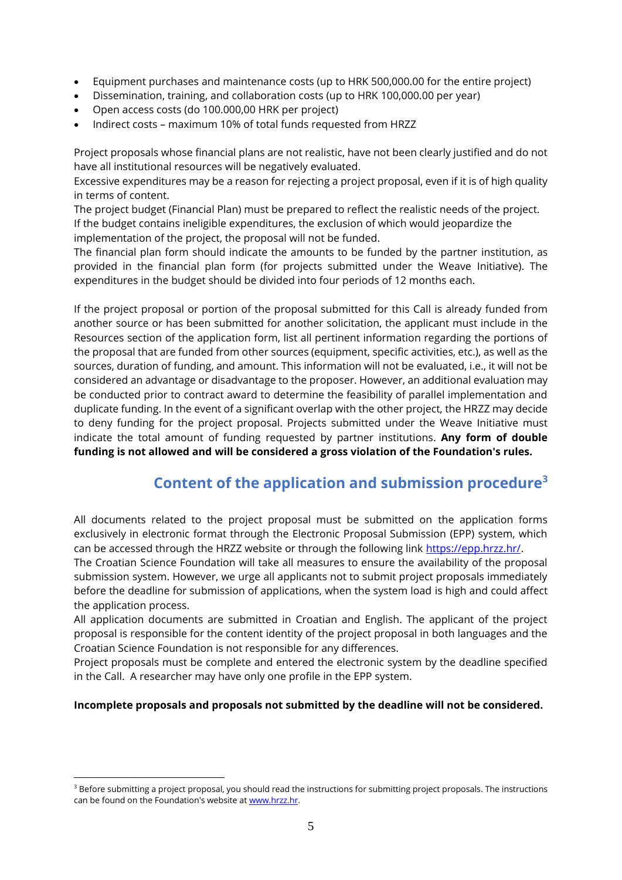- Equipment purchases and maintenance costs (up to HRK 500,000.00 for the entire project)
- Dissemination, training, and collaboration costs (up to HRK 100,000.00 per year)
- Open access costs (do 100.000,00 HRK per project)
- Indirect costs maximum 10% of total funds requested from HRZZ

Project proposals whose financial plans are not realistic, have not been clearly justified and do not have all institutional resources will be negatively evaluated.

Excessive expenditures may be a reason for rejecting a project proposal, even if it is of high quality in terms of content.

The project budget (Financial Plan) must be prepared to reflect the realistic needs of the project. If the budget contains ineligible expenditures, the exclusion of which would jeopardize the implementation of the project, the proposal will not be funded.

The financial plan form should indicate the amounts to be funded by the partner institution, as provided in the financial plan form (for projects submitted under the Weave Initiative). The expenditures in the budget should be divided into four periods of 12 months each.

If the project proposal or portion of the proposal submitted for this Call is already funded from another source or has been submitted for another solicitation, the applicant must include in the Resources section of the application form, list all pertinent information regarding the portions of the proposal that are funded from other sources (equipment, specific activities, etc.), as well as the sources, duration of funding, and amount. This information will not be evaluated, i.e., it will not be considered an advantage or disadvantage to the proposer. However, an additional evaluation may be conducted prior to contract award to determine the feasibility of parallel implementation and duplicate funding. In the event of a significant overlap with the other project, the HRZZ may decide to deny funding for the project proposal. Projects submitted under the Weave Initiative must indicate the total amount of funding requested by partner institutions. **Any form of double funding is not allowed and will be considered a gross violation of the Foundation's rules.**

## **Content of the application and submission procedure<sup>3</sup>**

All documents related to the project proposal must be submitted on the application forms exclusively in electronic format through the Electronic Proposal Submission (EPP) system, which can be accessed through the HRZZ website or through the following link [https://epp.hrzz.hr/.](https://epp.hrzz.hr/)

The Croatian Science Foundation will take all measures to ensure the availability of the proposal submission system. However, we urge all applicants not to submit project proposals immediately before the deadline for submission of applications, when the system load is high and could affect the application process.

All application documents are submitted in Croatian and English. The applicant of the project proposal is responsible for the content identity of the project proposal in both languages and the Croatian Science Foundation is not responsible for any differences.

Project proposals must be complete and entered the electronic system by the deadline specified in the Call. A researcher may have only one profile in the EPP system.

#### **Incomplete proposals and proposals not submitted by the deadline will not be considered.**

<sup>&</sup>lt;sup>3</sup> Before submitting a project proposal, you should read the instructions for submitting project proposals. The instructions can be found on the Foundation's website a[t www.hrzz.hr.](http://www.hrzz.hr/)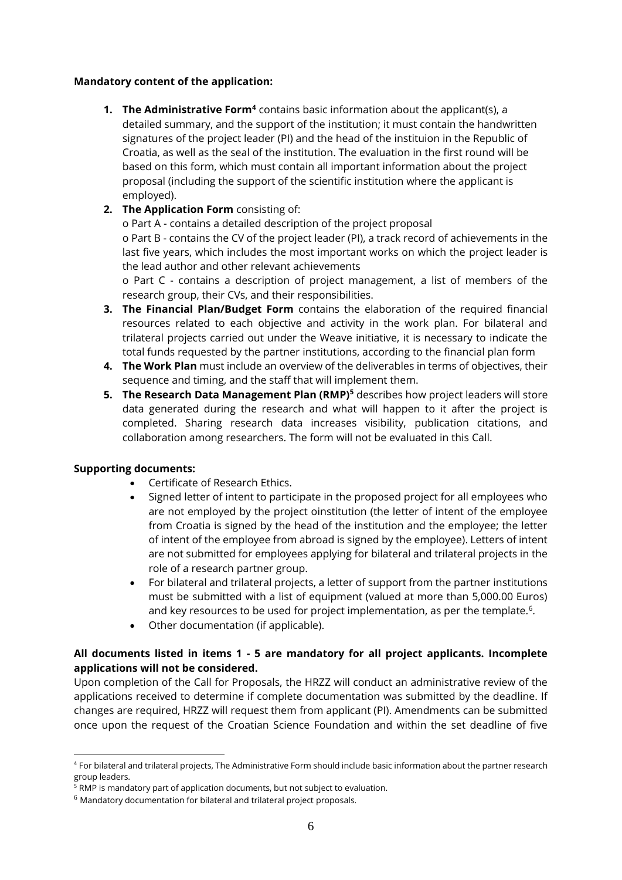#### **Mandatory content of the application:**

- **1. The Administrative Form<sup>4</sup>** contains basic information about the applicant(s), a detailed summary, and the support of the institution; it must contain the handwritten signatures of the project leader (PI) and the head of the instituion in the Republic of Croatia, as well as the seal of the institution. The evaluation in the first round will be based on this form, which must contain all important information about the project proposal (including the support of the scientific institution where the applicant is employed).
- **2. The Application Form** consisting of:

o Part A - contains a detailed description of the project proposal

o Part B - contains the CV of the project leader (PI), a track record of achievements in the last five years, which includes the most important works on which the project leader is the lead author and other relevant achievements

o Part C - contains a description of project management, a list of members of the research group, their CVs, and their responsibilities.

- **3. The Financial Plan/Budget Form** contains the elaboration of the required financial resources related to each objective and activity in the work plan. For bilateral and trilateral projects carried out under the Weave initiative, it is necessary to indicate the total funds requested by the partner institutions, according to the financial plan form
- **4. The Work Plan** must include an overview of the deliverables in terms of objectives, their sequence and timing, and the staff that will implement them.
- **5. The Research Data Management Plan (RMP)<sup>5</sup>** describes how project leaders will store data generated during the research and what will happen to it after the project is completed. Sharing research data increases visibility, publication citations, and collaboration among researchers. The form will not be evaluated in this Call.

#### **Supporting documents:**

- Certificate of Research Ethics.
- Signed letter of intent to participate in the proposed project for all employees who are not employed by the project oinstitution (the letter of intent of the employee from Croatia is signed by the head of the institution and the employee; the letter of intent of the employee from abroad is signed by the employee). Letters of intent are not submitted for employees applying for bilateral and trilateral projects in the role of a research partner group.
- For bilateral and trilateral projects, a letter of support from the partner institutions must be submitted with a list of equipment (valued at more than 5,000.00 Euros) and key resources to be used for project implementation, as per the template.<sup>6</sup>.
- Other documentation (if applicable).

#### **All documents listed in items 1 - 5 are mandatory for all project applicants. Incomplete applications will not be considered.**

Upon completion of the Call for Proposals, the HRZZ will conduct an administrative review of the applications received to determine if complete documentation was submitted by the deadline. If changes are required, HRZZ will request them from applicant (PI). Amendments can be submitted once upon the request of the Croatian Science Foundation and within the set deadline of five

<sup>4</sup> For bilateral and trilateral projects, The Administrative Form should include basic information about the partner research group leaders.

<sup>&</sup>lt;sup>5</sup> RMP is mandatory part of application documents, but not subject to evaluation.

<sup>6</sup> Mandatory documentation for bilateral and trilateral project proposals.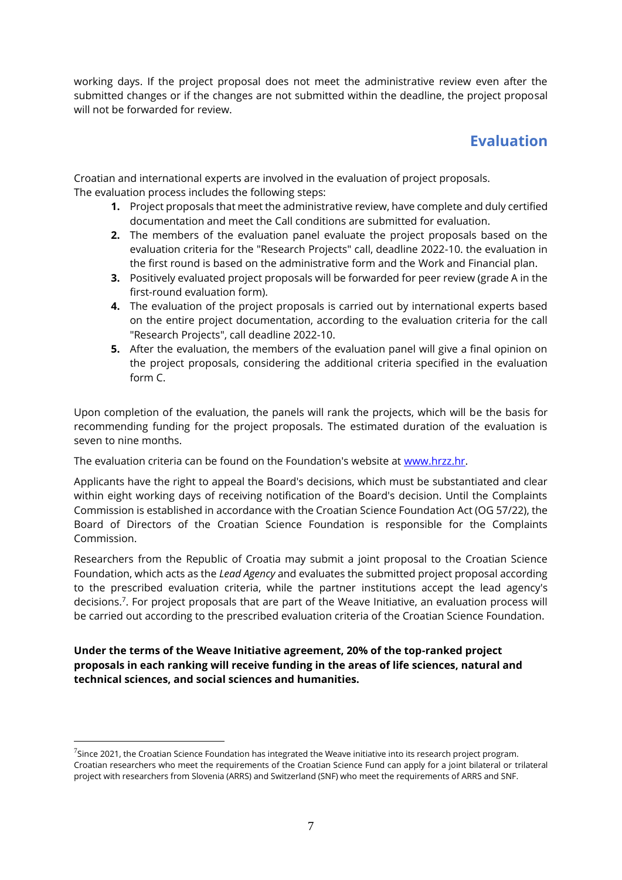working days. If the project proposal does not meet the administrative review even after the submitted changes or if the changes are not submitted within the deadline, the project proposal will not be forwarded for review.

### **Evaluation**

Croatian and international experts are involved in the evaluation of project proposals. The evaluation process includes the following steps:

- **1.** Project proposals that meet the administrative review, have complete and duly certified documentation and meet the Call conditions are submitted for evaluation.
- **2.** The members of the evaluation panel evaluate the project proposals based on the evaluation criteria for the "Research Projects" call, deadline 2022-10. the evaluation in the first round is based on the administrative form and the Work and Financial plan.
- **3.** Positively evaluated project proposals will be forwarded for peer review (grade A in the first-round evaluation form).
- **4.** The evaluation of the project proposals is carried out by international experts based on the entire project documentation, according to the evaluation criteria for the call "Research Projects", call deadline 2022-10.
- **5.** After the evaluation, the members of the evaluation panel will give a final opinion on the project proposals, considering the additional criteria specified in the evaluation form C.

Upon completion of the evaluation, the panels will rank the projects, which will be the basis for recommending funding for the project proposals. The estimated duration of the evaluation is seven to nine months.

The evaluation criteria can be found on the Foundation's website at [www.hrzz.hr.](http://www.hrzz.hr/)

Applicants have the right to appeal the Board's decisions, which must be substantiated and clear within eight working days of receiving notification of the Board's decision. Until the Complaints Commission is established in accordance with the Croatian Science Foundation Act (OG 57/22), the Board of Directors of the Croatian Science Foundation is responsible for the Complaints Commission.

Researchers from the Republic of Croatia may submit a joint proposal to the Croatian Science Foundation, which acts as the *Lead Agency* and evaluates the submitted project proposal according to the prescribed evaluation criteria, while the partner institutions accept the lead agency's decisions.<sup>7</sup> . For project proposals that are part of the Weave Initiative, an evaluation process will be carried out according to the prescribed evaluation criteria of the Croatian Science Foundation.

**Under the terms of the Weave Initiative agreement, 20% of the top-ranked project proposals in each ranking will receive funding in the areas of life sciences, natural and technical sciences, and social sciences and humanities.**

 $^7$ Since 2021, the Croatian Science Foundation has integrated the Weave initiative into its research project program. Croatian researchers who meet the requirements of the Croatian Science Fund can apply for a joint bilateral or trilateral project with researchers from Slovenia (ARRS) and Switzerland (SNF) who meet the requirements of ARRS and SNF.